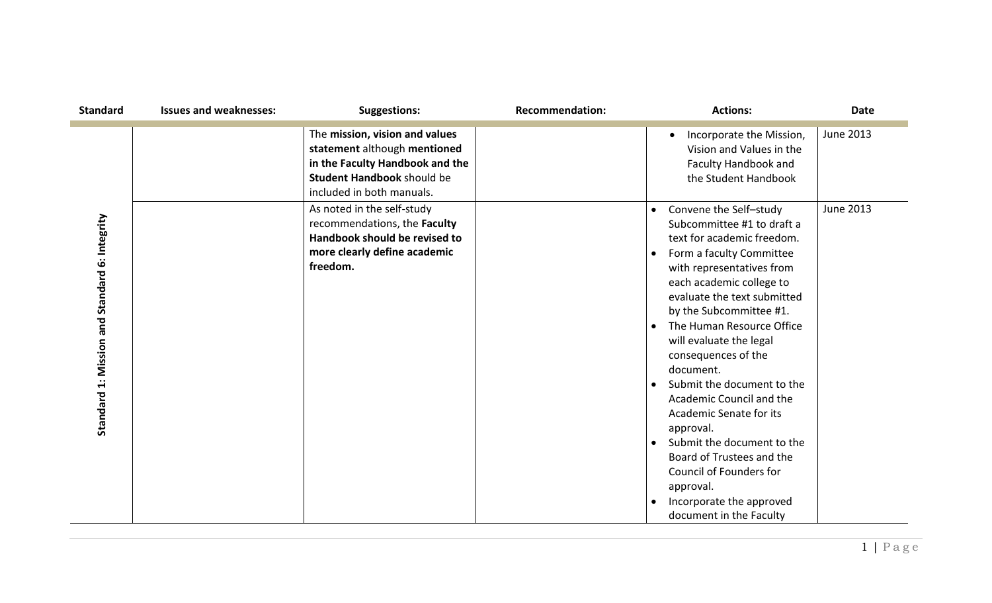| <b>Standard</b>                               | <b>Issues and weaknesses:</b> | <b>Suggestions:</b>                                                                                                                                                 | <b>Recommendation:</b> | <b>Actions:</b>                                                                                                                                                                                                                                                                                                                                                                                                                                                                                                                                                                                                                               | <b>Date</b>      |
|-----------------------------------------------|-------------------------------|---------------------------------------------------------------------------------------------------------------------------------------------------------------------|------------------------|-----------------------------------------------------------------------------------------------------------------------------------------------------------------------------------------------------------------------------------------------------------------------------------------------------------------------------------------------------------------------------------------------------------------------------------------------------------------------------------------------------------------------------------------------------------------------------------------------------------------------------------------------|------------------|
|                                               |                               | The mission, vision and values<br>statement although mentioned<br>in the Faculty Handbook and the<br><b>Student Handbook should be</b><br>included in both manuals. |                        | Incorporate the Mission,<br>$\bullet$<br>Vision and Values in the<br>Faculty Handbook and<br>the Student Handbook                                                                                                                                                                                                                                                                                                                                                                                                                                                                                                                             | <b>June 2013</b> |
| Standard 1: Mission and Standard 6: Integrity |                               | As noted in the self-study<br>recommendations, the Faculty<br>Handbook should be revised to<br>more clearly define academic<br>freedom.                             |                        | Convene the Self-study<br>Subcommittee #1 to draft a<br>text for academic freedom.<br>Form a faculty Committee<br>$\bullet$<br>with representatives from<br>each academic college to<br>evaluate the text submitted<br>by the Subcommittee #1.<br>The Human Resource Office<br>$\bullet$<br>will evaluate the legal<br>consequences of the<br>document.<br>Submit the document to the<br>$\bullet$<br>Academic Council and the<br>Academic Senate for its<br>approval.<br>Submit the document to the<br>$\bullet$<br>Board of Trustees and the<br>Council of Founders for<br>approval.<br>Incorporate the approved<br>document in the Faculty | <b>June 2013</b> |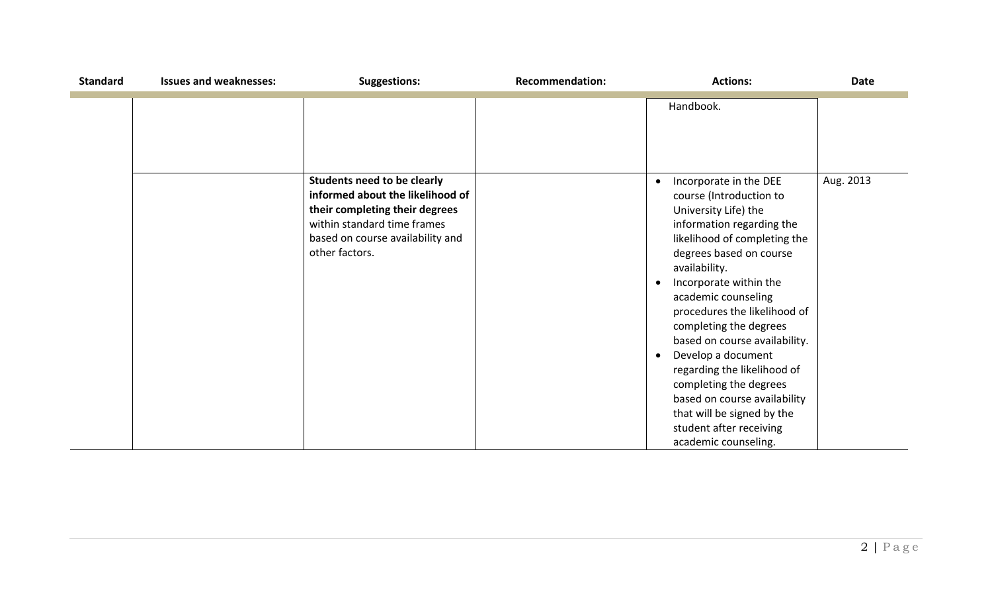| <b>Standard</b> | <b>Issues and weaknesses:</b> | <b>Suggestions:</b>                                                                                                                                     | <b>Recommendation:</b> | <b>Actions:</b>                                                                                                                                                                                                                                                                                                                                                                                                                                                                                                                | <b>Date</b> |
|-----------------|-------------------------------|---------------------------------------------------------------------------------------------------------------------------------------------------------|------------------------|--------------------------------------------------------------------------------------------------------------------------------------------------------------------------------------------------------------------------------------------------------------------------------------------------------------------------------------------------------------------------------------------------------------------------------------------------------------------------------------------------------------------------------|-------------|
|                 |                               | <b>Students need to be clearly</b>                                                                                                                      |                        | Handbook.<br>Incorporate in the DEE<br>$\bullet$                                                                                                                                                                                                                                                                                                                                                                                                                                                                               | Aug. 2013   |
|                 |                               | informed about the likelihood of<br>their completing their degrees<br>within standard time frames<br>based on course availability and<br>other factors. |                        | course (Introduction to<br>University Life) the<br>information regarding the<br>likelihood of completing the<br>degrees based on course<br>availability.<br>Incorporate within the<br>$\bullet$<br>academic counseling<br>procedures the likelihood of<br>completing the degrees<br>based on course availability.<br>Develop a document<br>$\bullet$<br>regarding the likelihood of<br>completing the degrees<br>based on course availability<br>that will be signed by the<br>student after receiving<br>academic counseling. |             |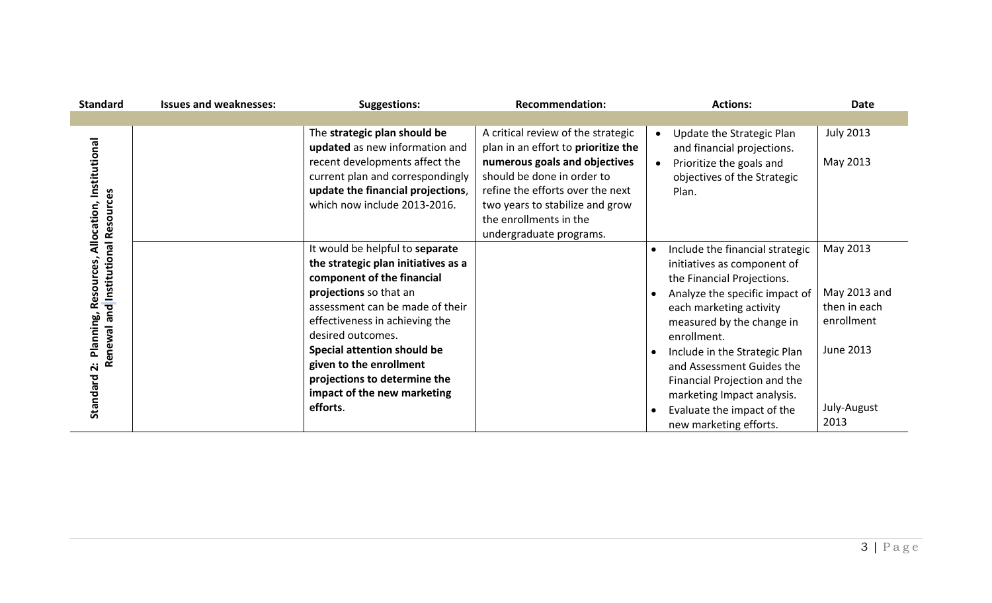| <b>Standard</b>                                                                       | <b>Issues and weaknesses:</b> | <b>Suggestions:</b>                                                                                                                                                                                                                                                                                                                                                  | <b>Recommendation:</b>                                                                                                                                                                                                                                               | <b>Actions:</b>                                                                                                                                                                                                                                                                                                                                                                           | <b>Date</b>                                                                                       |
|---------------------------------------------------------------------------------------|-------------------------------|----------------------------------------------------------------------------------------------------------------------------------------------------------------------------------------------------------------------------------------------------------------------------------------------------------------------------------------------------------------------|----------------------------------------------------------------------------------------------------------------------------------------------------------------------------------------------------------------------------------------------------------------------|-------------------------------------------------------------------------------------------------------------------------------------------------------------------------------------------------------------------------------------------------------------------------------------------------------------------------------------------------------------------------------------------|---------------------------------------------------------------------------------------------------|
|                                                                                       |                               |                                                                                                                                                                                                                                                                                                                                                                      |                                                                                                                                                                                                                                                                      |                                                                                                                                                                                                                                                                                                                                                                                           |                                                                                                   |
| ocation, Institutional                                                                |                               | The strategic plan should be<br>updated as new information and<br>recent developments affect the<br>current plan and correspondingly<br>update the financial projections,<br>which now include 2013-2016.                                                                                                                                                            | A critical review of the strategic<br>plan in an effort to prioritize the<br>numerous goals and objectives<br>should be done in order to<br>refine the efforts over the next<br>two years to stabilize and grow<br>the enrollments in the<br>undergraduate programs. | Update the Strategic Plan<br>$\bullet$<br>and financial projections.<br>Prioritize the goals and<br>$\bullet$<br>objectives of the Strategic<br>Plan.                                                                                                                                                                                                                                     | <b>July 2013</b><br>May 2013                                                                      |
| Renewal and Institutional Resources<br>₹<br><b>Reso</b><br>Planning,<br>2<br>Standard |                               | It would be helpful to separate<br>the strategic plan initiatives as a<br>component of the financial<br>projections so that an<br>assessment can be made of their<br>effectiveness in achieving the<br>desired outcomes.<br><b>Special attention should be</b><br>given to the enrollment<br>projections to determine the<br>impact of the new marketing<br>efforts. |                                                                                                                                                                                                                                                                      | Include the financial strategic<br>initiatives as component of<br>the Financial Projections.<br>Analyze the specific impact of<br>each marketing activity<br>measured by the change in<br>enrollment.<br>Include in the Strategic Plan<br>and Assessment Guides the<br>Financial Projection and the<br>marketing Impact analysis.<br>Evaluate the impact of the<br>new marketing efforts. | May 2013<br>May 2013 and<br>then in each<br>enrollment<br><b>June 2013</b><br>July-August<br>2013 |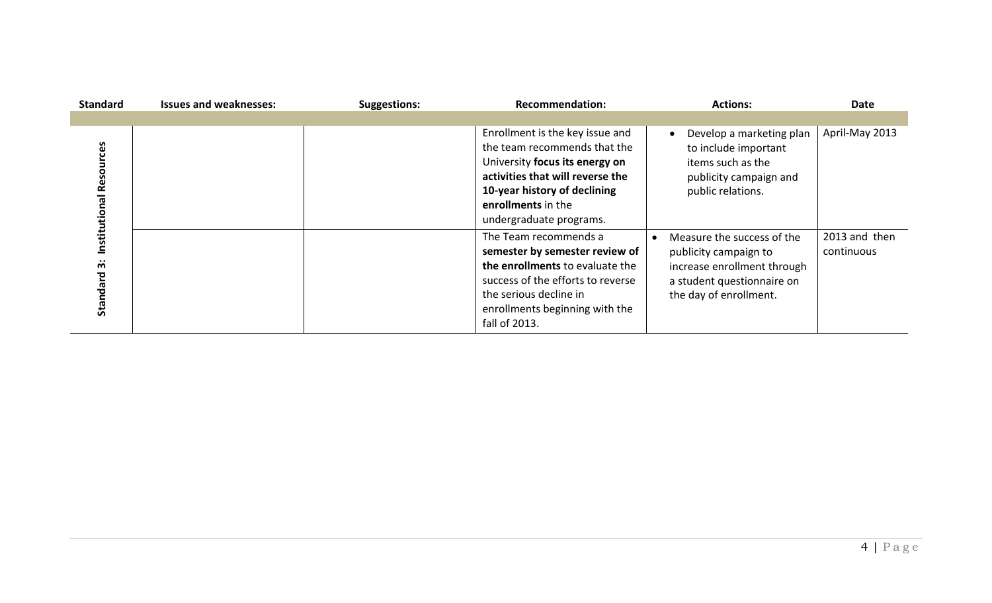| <b>Standard</b>                | <b>Issues and weaknesses:</b> | <b>Suggestions:</b> | <b>Recommendation:</b>                                                                                                                                                                                                 | <b>Actions:</b>                                                                                                                            | Date                        |
|--------------------------------|-------------------------------|---------------------|------------------------------------------------------------------------------------------------------------------------------------------------------------------------------------------------------------------------|--------------------------------------------------------------------------------------------------------------------------------------------|-----------------------------|
|                                |                               |                     |                                                                                                                                                                                                                        |                                                                                                                                            |                             |
| Institutional Resources        |                               |                     | Enrollment is the key issue and<br>the team recommends that the<br>University focus its energy on<br>activities that will reverse the<br>10-year history of declining<br>enrollments in the<br>undergraduate programs. | Develop a marketing plan<br>to include important<br>items such as the<br>publicity campaign and<br>public relations.                       | April-May 2013              |
| $\cdot \cdot$<br>m<br>Standard |                               |                     | The Team recommends a<br>semester by semester review of<br>the enrollments to evaluate the<br>success of the efforts to reverse<br>the serious decline in<br>enrollments beginning with the<br>fall of 2013.           | Measure the success of the<br>publicity campaign to<br>increase enrollment through<br>a student questionnaire on<br>the day of enrollment. | 2013 and then<br>continuous |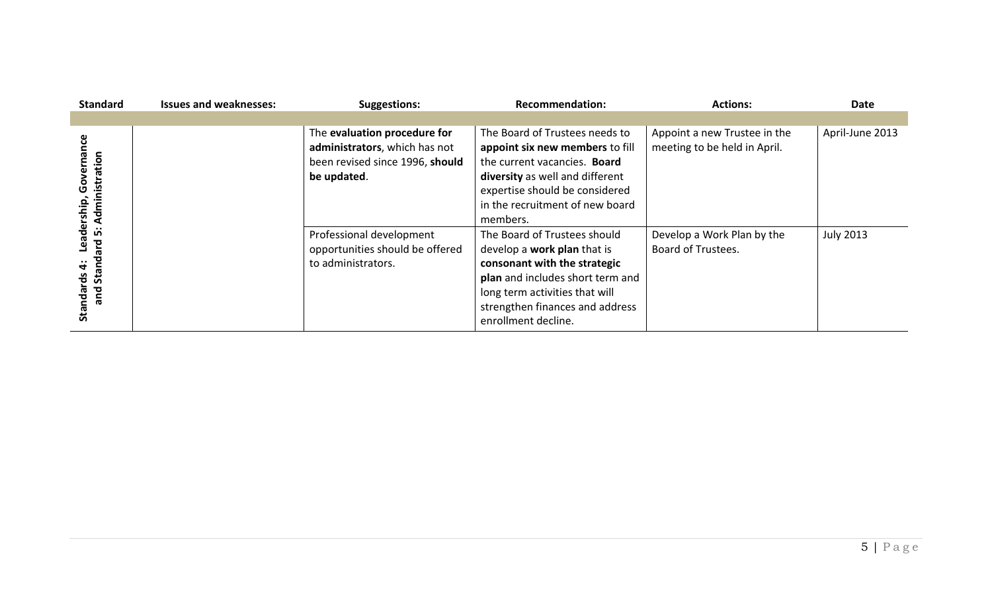| <b>Standard</b>                                        | <b>Issues and weaknesses:</b> | <b>Suggestions:</b>                                                                                             | <b>Recommendation:</b>                                                                                                                                                                                                             | <b>Actions:</b>                                              | <b>Date</b>      |
|--------------------------------------------------------|-------------------------------|-----------------------------------------------------------------------------------------------------------------|------------------------------------------------------------------------------------------------------------------------------------------------------------------------------------------------------------------------------------|--------------------------------------------------------------|------------------|
|                                                        |                               |                                                                                                                 |                                                                                                                                                                                                                                    |                                                              |                  |
| nance<br>istration<br>Gover<br>rship<br>$\frac{1}{2}$  |                               | The evaluation procedure for<br>administrators, which has not<br>been revised since 1996, should<br>be updated. | The Board of Trustees needs to<br>appoint six new members to fill<br>the current vacancies. Board<br>diversity as well and different<br>expertise should be considered<br>in the recruitment of new board<br>members.              | Appoint a new Trustee in the<br>meeting to be held in April. | April-June 2013  |
| ႕ီ<br>ம்<br>짇<br>ق<br>ငို<br><u>ທັ</u><br>bue<br>Stand |                               | Professional development<br>opportunities should be offered<br>to administrators.                               | The Board of Trustees should<br>develop a <b>work plan</b> that is<br>consonant with the strategic<br>plan and includes short term and<br>long term activities that will<br>strengthen finances and address<br>enrollment decline. | Develop a Work Plan by the<br>Board of Trustees.             | <b>July 2013</b> |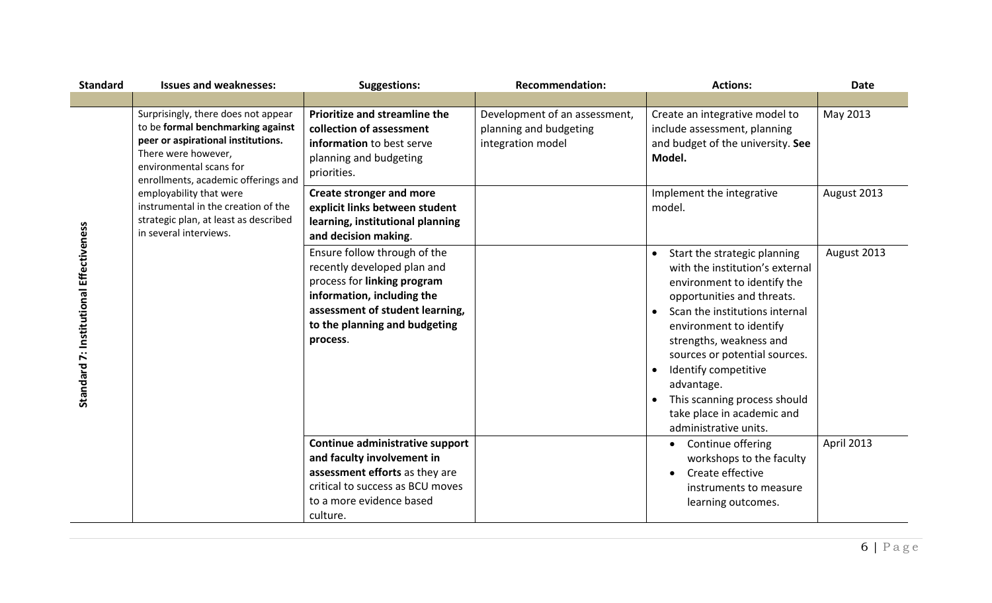| <b>Standard</b>                         | <b>Issues and weaknesses:</b>                                                                                                                                                                                                                                                                                                                | <b>Suggestions:</b>                                                                                                                                                                                      | <b>Recommendation:</b>                                                       | <b>Actions:</b>                                                                                                                                                                                                                                                                                                                                                                    | <b>Date</b> |
|-----------------------------------------|----------------------------------------------------------------------------------------------------------------------------------------------------------------------------------------------------------------------------------------------------------------------------------------------------------------------------------------------|----------------------------------------------------------------------------------------------------------------------------------------------------------------------------------------------------------|------------------------------------------------------------------------------|------------------------------------------------------------------------------------------------------------------------------------------------------------------------------------------------------------------------------------------------------------------------------------------------------------------------------------------------------------------------------------|-------------|
|                                         |                                                                                                                                                                                                                                                                                                                                              |                                                                                                                                                                                                          |                                                                              |                                                                                                                                                                                                                                                                                                                                                                                    |             |
| Standard 7: Institutional Effectiveness | Surprisingly, there does not appear<br>to be formal benchmarking against<br>peer or aspirational institutions.<br>There were however,<br>environmental scans for<br>enrollments, academic offerings and<br>employability that were<br>instrumental in the creation of the<br>strategic plan, at least as described<br>in several interviews. | Prioritize and streamline the<br>collection of assessment<br>information to best serve<br>planning and budgeting<br>priorities.                                                                          | Development of an assessment,<br>planning and budgeting<br>integration model | Create an integrative model to<br>include assessment, planning<br>and budget of the university. See<br>Model.                                                                                                                                                                                                                                                                      | May 2013    |
|                                         |                                                                                                                                                                                                                                                                                                                                              | <b>Create stronger and more</b><br>explicit links between student<br>learning, institutional planning<br>and decision making.                                                                            |                                                                              | Implement the integrative<br>model.                                                                                                                                                                                                                                                                                                                                                | August 2013 |
|                                         |                                                                                                                                                                                                                                                                                                                                              | Ensure follow through of the<br>recently developed plan and<br>process for linking program<br>information, including the<br>assessment of student learning,<br>to the planning and budgeting<br>process. |                                                                              | Start the strategic planning<br>with the institution's external<br>environment to identify the<br>opportunities and threats.<br>Scan the institutions internal<br>environment to identify<br>strengths, weakness and<br>sources or potential sources.<br>Identify competitive<br>advantage.<br>This scanning process should<br>take place in academic and<br>administrative units. | August 2013 |
|                                         |                                                                                                                                                                                                                                                                                                                                              | Continue administrative support<br>and faculty involvement in<br>assessment efforts as they are                                                                                                          |                                                                              | Continue offering<br>$\bullet$<br>workshops to the faculty<br>Create effective                                                                                                                                                                                                                                                                                                     | April 2013  |
|                                         |                                                                                                                                                                                                                                                                                                                                              | critical to success as BCU moves<br>to a more evidence based<br>culture.                                                                                                                                 |                                                                              | $\bullet$<br>instruments to measure<br>learning outcomes.                                                                                                                                                                                                                                                                                                                          |             |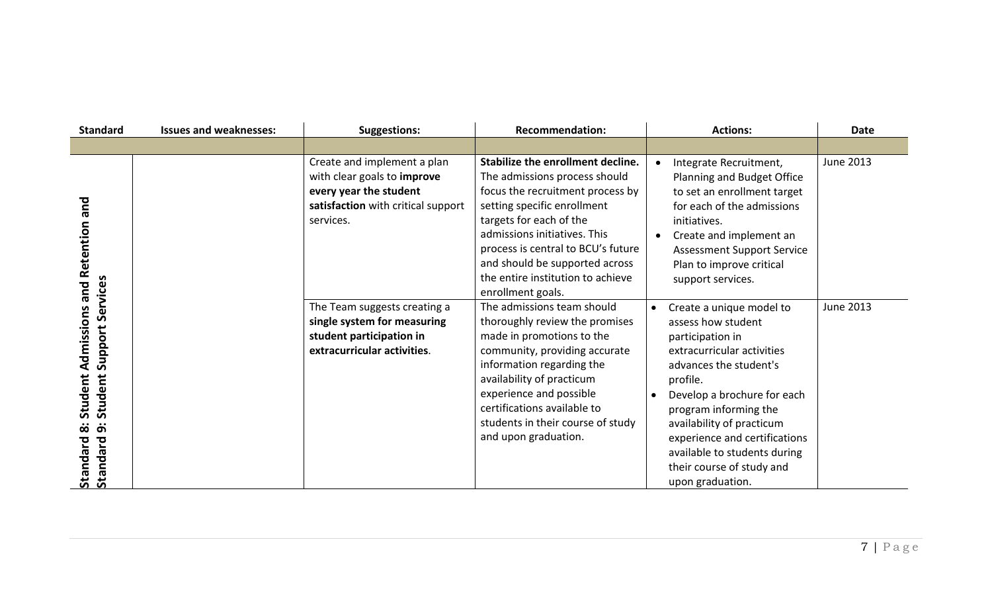| <b>Standard</b>                                                              | <b>Issues and weaknesses:</b> | <b>Suggestions:</b>                                                                                                                     | <b>Recommendation:</b>                                                                                                                                                                                                                                                                                                             | <b>Actions:</b>                                                                                                                                                                                                                                                                                                                               | <b>Date</b>      |
|------------------------------------------------------------------------------|-------------------------------|-----------------------------------------------------------------------------------------------------------------------------------------|------------------------------------------------------------------------------------------------------------------------------------------------------------------------------------------------------------------------------------------------------------------------------------------------------------------------------------|-----------------------------------------------------------------------------------------------------------------------------------------------------------------------------------------------------------------------------------------------------------------------------------------------------------------------------------------------|------------------|
|                                                                              |                               |                                                                                                                                         |                                                                                                                                                                                                                                                                                                                                    |                                                                                                                                                                                                                                                                                                                                               |                  |
| and<br>Retention<br>Services<br>pue                                          |                               | Create and implement a plan<br>with clear goals to improve<br>every year the student<br>satisfaction with critical support<br>services. | Stabilize the enrollment decline.<br>The admissions process should<br>focus the recruitment process by<br>setting specific enrollment<br>targets for each of the<br>admissions initiatives. This<br>process is central to BCU's future<br>and should be supported across<br>the entire institution to achieve<br>enrollment goals. | Integrate Recruitment,<br>$\bullet$<br>Planning and Budget Office<br>to set an enrollment target<br>for each of the admissions<br>initiatives.<br>Create and implement an<br><b>Assessment Support Service</b><br>Plan to improve critical<br>support services.                                                                               | June 2013        |
| dmissions<br>Support<br>⋖<br>Student<br>Student<br>_<br>Standard<br>Standard |                               | The Team suggests creating a<br>single system for measuring<br>student participation in<br>extracurricular activities.                  | The admissions team should<br>thoroughly review the promises<br>made in promotions to the<br>community, providing accurate<br>information regarding the<br>availability of practicum<br>experience and possible<br>certifications available to<br>students in their course of study<br>and upon graduation.                        | Create a unique model to<br>assess how student<br>participation in<br>extracurricular activities<br>advances the student's<br>profile.<br>Develop a brochure for each<br>program informing the<br>availability of practicum<br>experience and certifications<br>available to students during<br>their course of study and<br>upon graduation. | <b>June 2013</b> |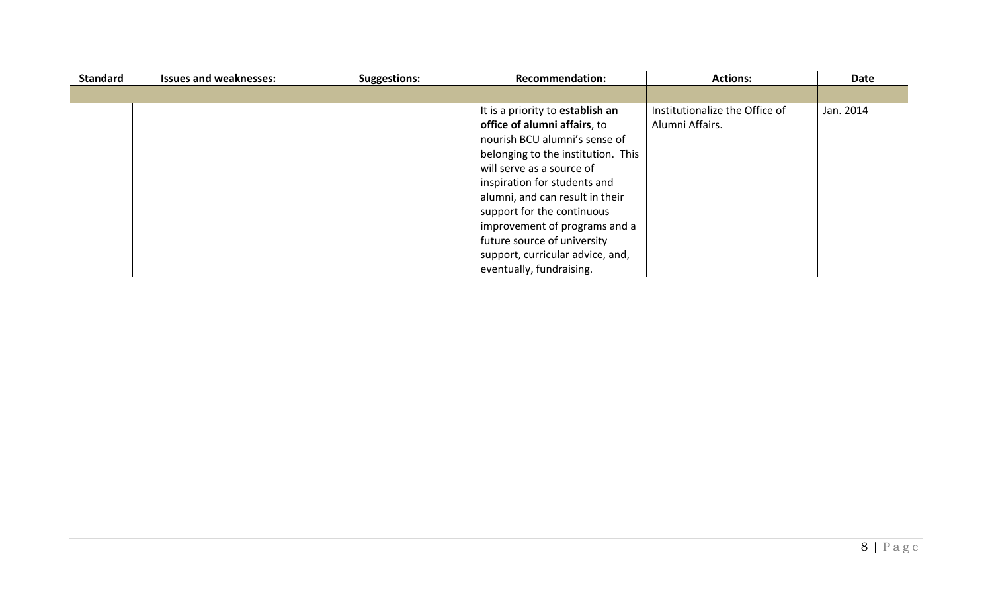| <b>Standard</b> | <b>Issues and weaknesses:</b> | <b>Suggestions:</b> | <b>Recommendation:</b>             | <b>Actions:</b>                | Date      |
|-----------------|-------------------------------|---------------------|------------------------------------|--------------------------------|-----------|
|                 |                               |                     |                                    |                                |           |
|                 |                               |                     | It is a priority to establish an   | Institutionalize the Office of | Jan. 2014 |
|                 |                               |                     | office of alumni affairs, to       | Alumni Affairs.                |           |
|                 |                               |                     | nourish BCU alumni's sense of      |                                |           |
|                 |                               |                     | belonging to the institution. This |                                |           |
|                 |                               |                     | will serve as a source of          |                                |           |
|                 |                               |                     | inspiration for students and       |                                |           |
|                 |                               |                     | alumni, and can result in their    |                                |           |
|                 |                               |                     | support for the continuous         |                                |           |
|                 |                               |                     | improvement of programs and a      |                                |           |
|                 |                               |                     | future source of university        |                                |           |
|                 |                               |                     | support, curricular advice, and,   |                                |           |
|                 |                               |                     | eventually, fundraising.           |                                |           |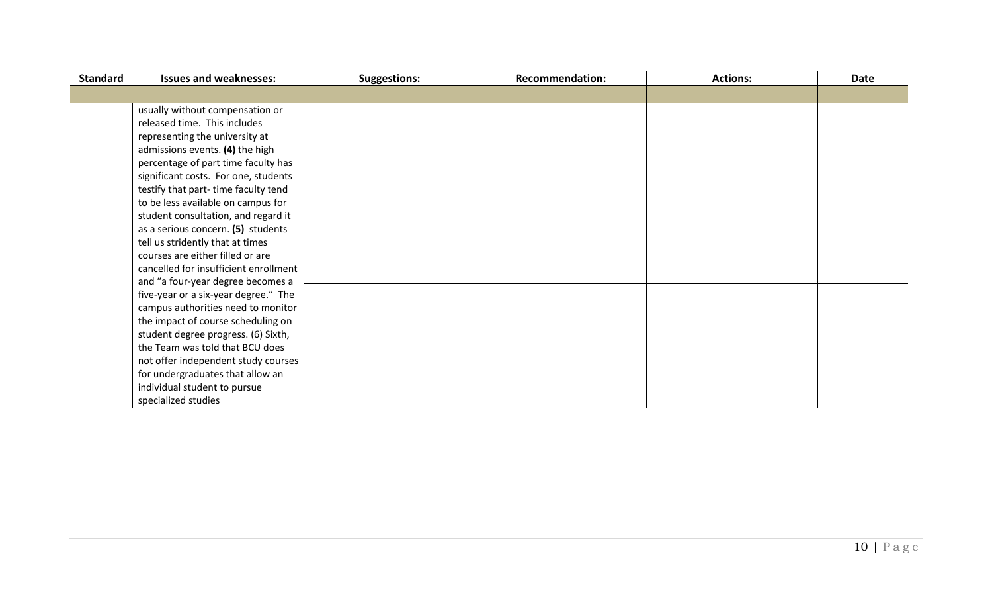| <b>Standard</b> | <b>Issues and weaknesses:</b>         | <b>Suggestions:</b> | <b>Recommendation:</b> | <b>Actions:</b> | Date |
|-----------------|---------------------------------------|---------------------|------------------------|-----------------|------|
|                 |                                       |                     |                        |                 |      |
|                 | usually without compensation or       |                     |                        |                 |      |
|                 | released time. This includes          |                     |                        |                 |      |
|                 | representing the university at        |                     |                        |                 |      |
|                 | admissions events. (4) the high       |                     |                        |                 |      |
|                 | percentage of part time faculty has   |                     |                        |                 |      |
|                 | significant costs. For one, students  |                     |                        |                 |      |
|                 | testify that part-time faculty tend   |                     |                        |                 |      |
|                 | to be less available on campus for    |                     |                        |                 |      |
|                 | student consultation, and regard it   |                     |                        |                 |      |
|                 | as a serious concern. (5) students    |                     |                        |                 |      |
|                 | tell us stridently that at times      |                     |                        |                 |      |
|                 | courses are either filled or are      |                     |                        |                 |      |
|                 | cancelled for insufficient enrollment |                     |                        |                 |      |
|                 | and "a four-year degree becomes a     |                     |                        |                 |      |
|                 | five-year or a six-year degree." The  |                     |                        |                 |      |
|                 | campus authorities need to monitor    |                     |                        |                 |      |
|                 | the impact of course scheduling on    |                     |                        |                 |      |
|                 | student degree progress. (6) Sixth,   |                     |                        |                 |      |
|                 | the Team was told that BCU does       |                     |                        |                 |      |
|                 | not offer independent study courses   |                     |                        |                 |      |
|                 | for undergraduates that allow an      |                     |                        |                 |      |
|                 | individual student to pursue          |                     |                        |                 |      |
|                 | specialized studies                   |                     |                        |                 |      |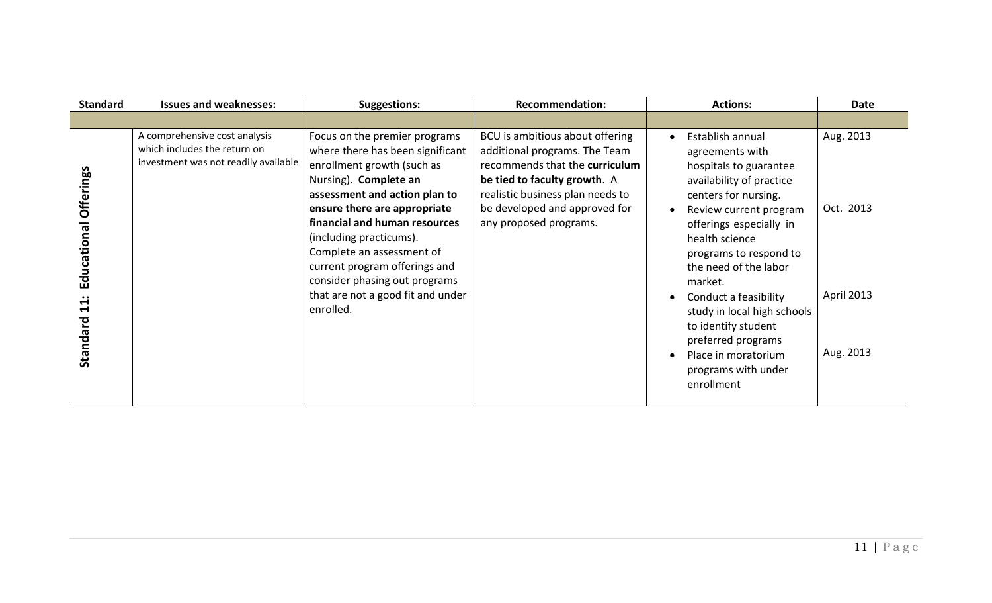| <b>Standard</b>                                    | <b>Issues and weaknesses:</b>                                                                         | <b>Suggestions:</b>                                                                                                                                                                                                                                                                                                                                                                                    | <b>Recommendation:</b>                                                                                                                                                                                                            | <b>Actions:</b>                                                                                                                                                                                                                                                                                                                                                                                                         | <b>Date</b>                                       |
|----------------------------------------------------|-------------------------------------------------------------------------------------------------------|--------------------------------------------------------------------------------------------------------------------------------------------------------------------------------------------------------------------------------------------------------------------------------------------------------------------------------------------------------------------------------------------------------|-----------------------------------------------------------------------------------------------------------------------------------------------------------------------------------------------------------------------------------|-------------------------------------------------------------------------------------------------------------------------------------------------------------------------------------------------------------------------------------------------------------------------------------------------------------------------------------------------------------------------------------------------------------------------|---------------------------------------------------|
|                                                    |                                                                                                       |                                                                                                                                                                                                                                                                                                                                                                                                        |                                                                                                                                                                                                                                   |                                                                                                                                                                                                                                                                                                                                                                                                                         |                                                   |
| <b>Offerings</b><br>Educational<br>11:<br>Standard | A comprehensive cost analysis<br>which includes the return on<br>investment was not readily available | Focus on the premier programs<br>where there has been significant<br>enrollment growth (such as<br>Nursing). Complete an<br>assessment and action plan to<br>ensure there are appropriate<br>financial and human resources<br>(including practicums).<br>Complete an assessment of<br>current program offerings and<br>consider phasing out programs<br>that are not a good fit and under<br>enrolled. | BCU is ambitious about offering<br>additional programs. The Team<br>recommends that the curriculum<br>be tied to faculty growth. A<br>realistic business plan needs to<br>be developed and approved for<br>any proposed programs. | Establish annual<br>agreements with<br>hospitals to guarantee<br>availability of practice<br>centers for nursing.<br>Review current program<br>offerings especially in<br>health science<br>programs to respond to<br>the need of the labor<br>market.<br>Conduct a feasibility<br>study in local high schools<br>to identify student<br>preferred programs<br>Place in moratorium<br>programs with under<br>enrollment | Aug. 2013<br>Oct. 2013<br>April 2013<br>Aug. 2013 |
|                                                    |                                                                                                       |                                                                                                                                                                                                                                                                                                                                                                                                        |                                                                                                                                                                                                                                   |                                                                                                                                                                                                                                                                                                                                                                                                                         |                                                   |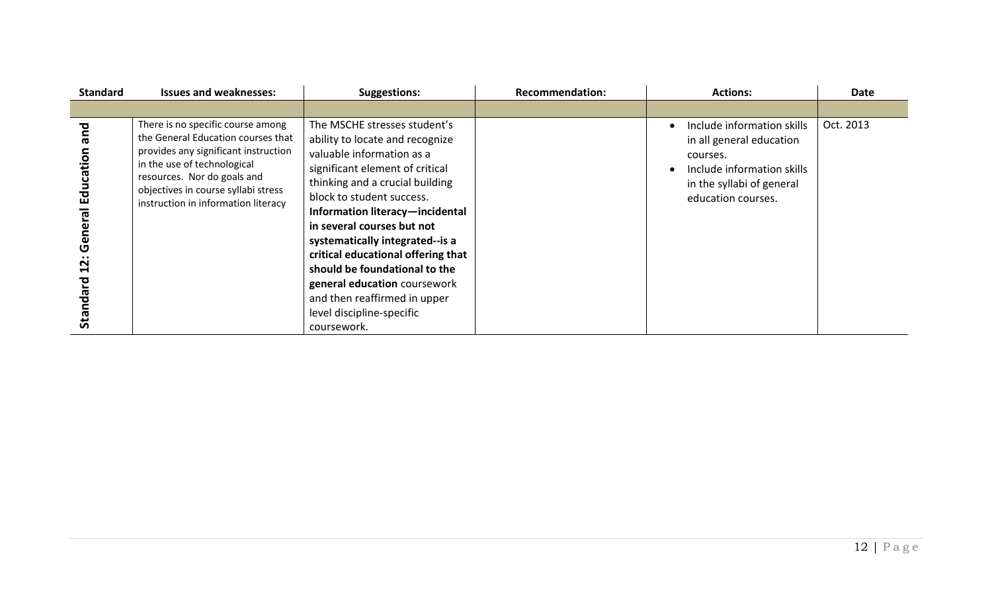| <b>Standard</b>                                          | <b>Issues and weaknesses:</b>                                                                                                                                                                                                                               | <b>Suggestions:</b>                                                                                                                                                                                                                                                                                                                                                                                                                                                                    | <b>Recommendation:</b> | <b>Actions:</b>                                                                                                                                     | Date      |
|----------------------------------------------------------|-------------------------------------------------------------------------------------------------------------------------------------------------------------------------------------------------------------------------------------------------------------|----------------------------------------------------------------------------------------------------------------------------------------------------------------------------------------------------------------------------------------------------------------------------------------------------------------------------------------------------------------------------------------------------------------------------------------------------------------------------------------|------------------------|-----------------------------------------------------------------------------------------------------------------------------------------------------|-----------|
|                                                          |                                                                                                                                                                                                                                                             |                                                                                                                                                                                                                                                                                                                                                                                                                                                                                        |                        |                                                                                                                                                     |           |
| and<br>Education<br>General<br>$\mathbf{12}$<br>Standard | There is no specific course among<br>the General Education courses that<br>provides any significant instruction<br>in the use of technological<br>resources. Nor do goals and<br>objectives in course syllabi stress<br>instruction in information literacy | The MSCHE stresses student's<br>ability to locate and recognize<br>valuable information as a<br>significant element of critical<br>thinking and a crucial building<br>block to student success.<br>Information literacy-incidental<br>in several courses but not<br>systematically integrated--is a<br>critical educational offering that<br>should be foundational to the<br>general education coursework<br>and then reaffirmed in upper<br>level discipline-specific<br>coursework. |                        | Include information skills<br>in all general education<br>courses.<br>Include information skills<br>in the syllabi of general<br>education courses. | Oct. 2013 |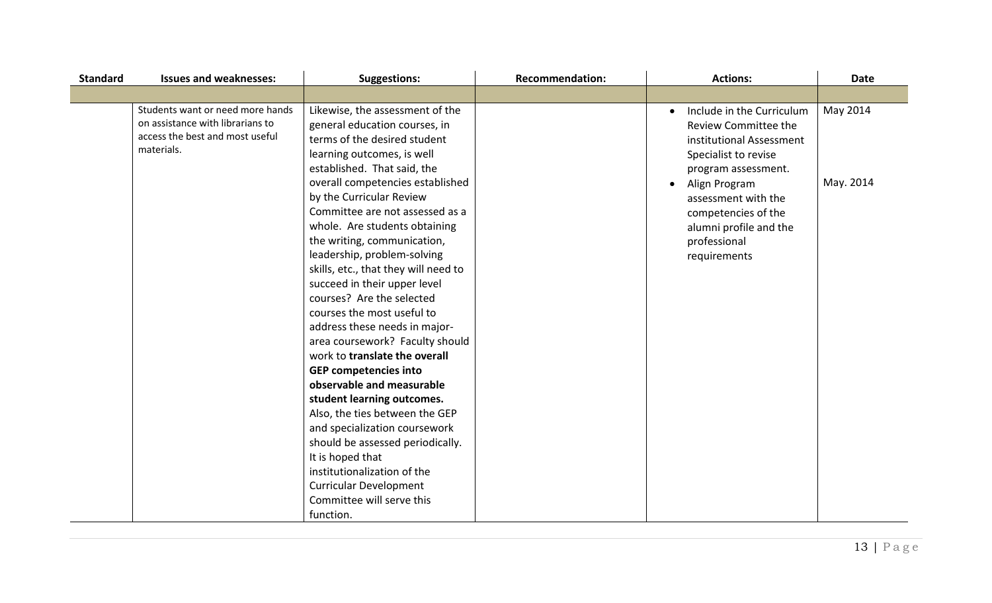| <b>Standard</b> | <b>Issues and weaknesses:</b>                                                                                         | <b>Suggestions:</b>                                                                                                                                                                                                                                                                                                                                                                                                                     | <b>Recommendation:</b> | <b>Actions:</b>                                                                                                                                                                                                                                       | <b>Date</b>           |
|-----------------|-----------------------------------------------------------------------------------------------------------------------|-----------------------------------------------------------------------------------------------------------------------------------------------------------------------------------------------------------------------------------------------------------------------------------------------------------------------------------------------------------------------------------------------------------------------------------------|------------------------|-------------------------------------------------------------------------------------------------------------------------------------------------------------------------------------------------------------------------------------------------------|-----------------------|
|                 |                                                                                                                       |                                                                                                                                                                                                                                                                                                                                                                                                                                         |                        |                                                                                                                                                                                                                                                       |                       |
|                 | Students want or need more hands<br>on assistance with librarians to<br>access the best and most useful<br>materials. | Likewise, the assessment of the<br>general education courses, in<br>terms of the desired student<br>learning outcomes, is well<br>established. That said, the<br>overall competencies established<br>by the Curricular Review<br>Committee are not assessed as a<br>whole. Are students obtaining<br>the writing, communication,<br>leadership, problem-solving<br>skills, etc., that they will need to<br>succeed in their upper level |                        | Include in the Curriculum<br>Review Committee the<br>institutional Assessment<br>Specialist to revise<br>program assessment.<br>Align Program<br>assessment with the<br>competencies of the<br>alumni profile and the<br>professional<br>requirements | May 2014<br>May. 2014 |
|                 |                                                                                                                       | courses? Are the selected<br>courses the most useful to<br>address these needs in major-<br>area coursework? Faculty should<br>work to translate the overall<br><b>GEP competencies into</b>                                                                                                                                                                                                                                            |                        |                                                                                                                                                                                                                                                       |                       |
|                 |                                                                                                                       | observable and measurable<br>student learning outcomes.<br>Also, the ties between the GEP<br>and specialization coursework<br>should be assessed periodically.<br>It is hoped that<br>institutionalization of the<br><b>Curricular Development</b><br>Committee will serve this<br>function.                                                                                                                                            |                        |                                                                                                                                                                                                                                                       |                       |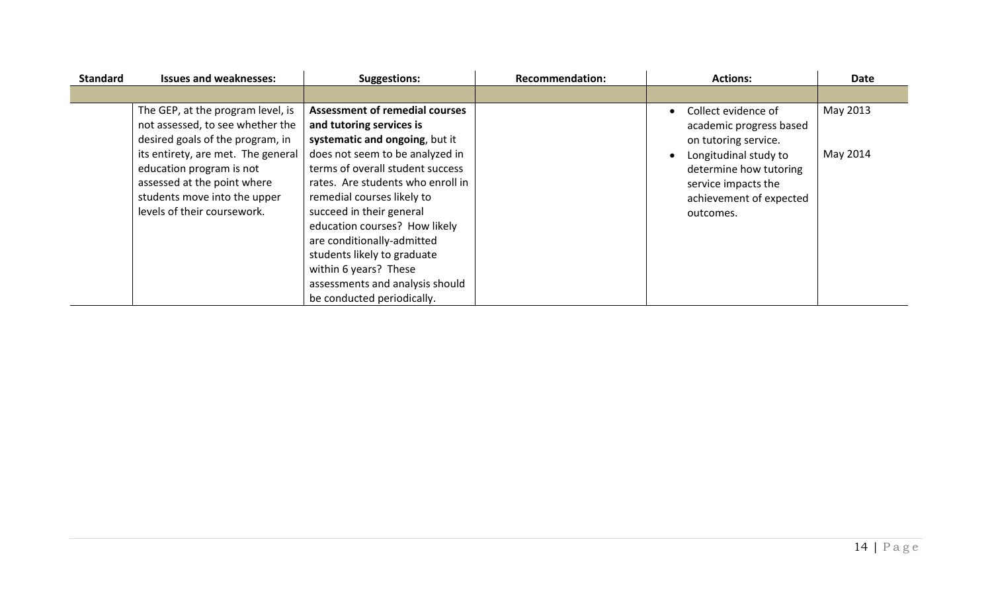| <b>Standard</b> | <b>Issues and weaknesses:</b>                                                                                                                                | <b>Suggestions:</b>                                                                                                                                                                                                                                                                                                          | <b>Recommendation:</b> | <b>Actions:</b>                                                                                                | <b>Date</b> |
|-----------------|--------------------------------------------------------------------------------------------------------------------------------------------------------------|------------------------------------------------------------------------------------------------------------------------------------------------------------------------------------------------------------------------------------------------------------------------------------------------------------------------------|------------------------|----------------------------------------------------------------------------------------------------------------|-------------|
|                 |                                                                                                                                                              |                                                                                                                                                                                                                                                                                                                              |                        |                                                                                                                |             |
|                 | The GEP, at the program level, is<br>not assessed, to see whether the<br>desired goals of the program, in                                                    | <b>Assessment of remedial courses</b><br>and tutoring services is<br>systematic and ongoing, but it                                                                                                                                                                                                                          |                        | Collect evidence of<br>academic progress based<br>on tutoring service.                                         | May 2013    |
|                 | its entirety, are met. The general<br>education program is not<br>assessed at the point where<br>students move into the upper<br>levels of their coursework. | does not seem to be analyzed in<br>terms of overall student success<br>rates. Are students who enroll in<br>remedial courses likely to<br>succeed in their general<br>education courses? How likely<br>are conditionally-admitted<br>students likely to graduate<br>within 6 years? These<br>assessments and analysis should |                        | Longitudinal study to<br>determine how tutoring<br>service impacts the<br>achievement of expected<br>outcomes. | May 2014    |
|                 |                                                                                                                                                              | be conducted periodically.                                                                                                                                                                                                                                                                                                   |                        |                                                                                                                |             |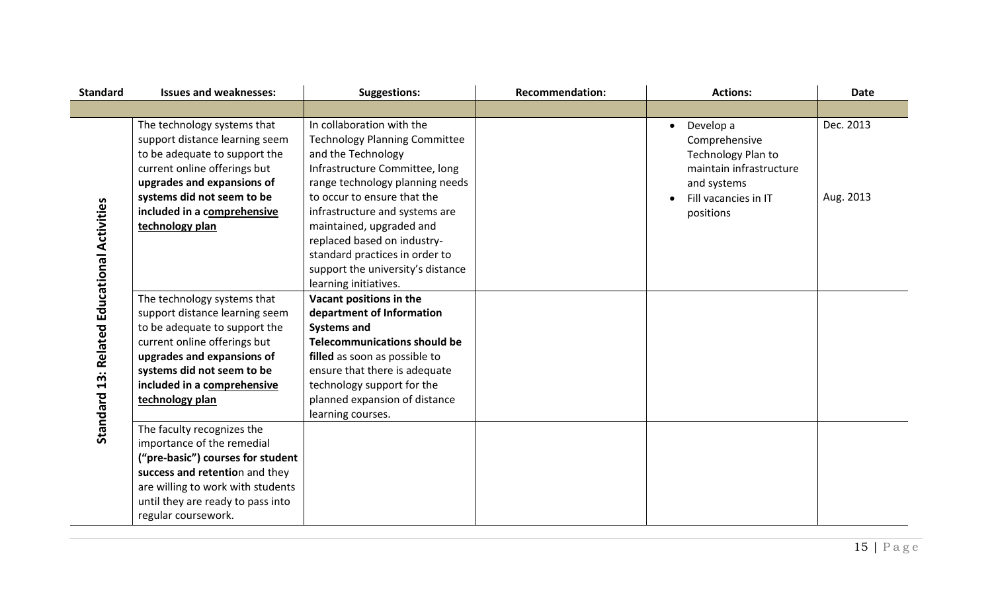| <b>Standard</b>                             | <b>Issues and weaknesses:</b>                                                                                                                                                                                                                | <b>Suggestions:</b>                                                                                                                                                                                                                                                                                                                                                                      | <b>Recommendation:</b> | <b>Actions:</b>                                                                                                                              | <b>Date</b>            |
|---------------------------------------------|----------------------------------------------------------------------------------------------------------------------------------------------------------------------------------------------------------------------------------------------|------------------------------------------------------------------------------------------------------------------------------------------------------------------------------------------------------------------------------------------------------------------------------------------------------------------------------------------------------------------------------------------|------------------------|----------------------------------------------------------------------------------------------------------------------------------------------|------------------------|
|                                             |                                                                                                                                                                                                                                              |                                                                                                                                                                                                                                                                                                                                                                                          |                        |                                                                                                                                              |                        |
| Standard 13: Related Educational Activities | The technology systems that<br>support distance learning seem<br>to be adequate to support the<br>current online offerings but<br>upgrades and expansions of<br>systems did not seem to be<br>included in a comprehensive<br>technology plan | In collaboration with the<br><b>Technology Planning Committee</b><br>and the Technology<br>Infrastructure Committee, long<br>range technology planning needs<br>to occur to ensure that the<br>infrastructure and systems are<br>maintained, upgraded and<br>replaced based on industry-<br>standard practices in order to<br>support the university's distance<br>learning initiatives. |                        | Develop a<br>$\bullet$<br>Comprehensive<br>Technology Plan to<br>maintain infrastructure<br>and systems<br>Fill vacancies in IT<br>positions | Dec. 2013<br>Aug. 2013 |
|                                             | The technology systems that<br>support distance learning seem<br>to be adequate to support the<br>current online offerings but<br>upgrades and expansions of<br>systems did not seem to be<br>included in a comprehensive<br>technology plan | Vacant positions in the<br>department of Information<br><b>Systems and</b><br><b>Telecommunications should be</b><br>filled as soon as possible to<br>ensure that there is adequate<br>technology support for the<br>planned expansion of distance<br>learning courses.                                                                                                                  |                        |                                                                                                                                              |                        |
|                                             | The faculty recognizes the<br>importance of the remedial<br>("pre-basic") courses for student<br>success and retention and they<br>are willing to work with students<br>until they are ready to pass into<br>regular coursework.             |                                                                                                                                                                                                                                                                                                                                                                                          |                        |                                                                                                                                              |                        |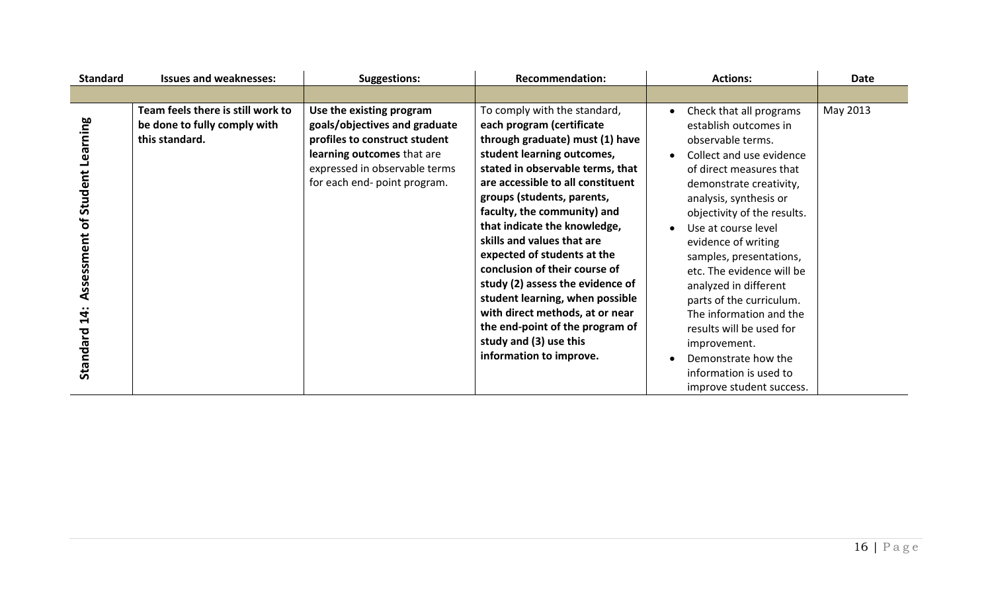| <b>Standard</b>                                            | <b>Issues and weaknesses:</b>                                                       | <b>Suggestions:</b>                                                                                                                                                                       | <b>Recommendation:</b>                                                                                                                                                                                                                                                                                                                                                                                                                                                                                                                                                                           | <b>Actions:</b>                                                                                                                                                                                                                                                                                                                                                                                                                                                                                                                 | <b>Date</b> |
|------------------------------------------------------------|-------------------------------------------------------------------------------------|-------------------------------------------------------------------------------------------------------------------------------------------------------------------------------------------|--------------------------------------------------------------------------------------------------------------------------------------------------------------------------------------------------------------------------------------------------------------------------------------------------------------------------------------------------------------------------------------------------------------------------------------------------------------------------------------------------------------------------------------------------------------------------------------------------|---------------------------------------------------------------------------------------------------------------------------------------------------------------------------------------------------------------------------------------------------------------------------------------------------------------------------------------------------------------------------------------------------------------------------------------------------------------------------------------------------------------------------------|-------------|
|                                                            |                                                                                     |                                                                                                                                                                                           |                                                                                                                                                                                                                                                                                                                                                                                                                                                                                                                                                                                                  |                                                                                                                                                                                                                                                                                                                                                                                                                                                                                                                                 |             |
| Learning<br>of Student<br>Assessment<br>$14$ :<br>Standard | Team feels there is still work to<br>be done to fully comply with<br>this standard. | Use the existing program<br>goals/objectives and graduate<br>profiles to construct student<br>learning outcomes that are<br>expressed in observable terms<br>for each end- point program. | To comply with the standard,<br>each program (certificate<br>through graduate) must (1) have<br>student learning outcomes,<br>stated in observable terms, that<br>are accessible to all constituent<br>groups (students, parents,<br>faculty, the community) and<br>that indicate the knowledge,<br>skills and values that are<br>expected of students at the<br>conclusion of their course of<br>study (2) assess the evidence of<br>student learning, when possible<br>with direct methods, at or near<br>the end-point of the program of<br>study and (3) use this<br>information to improve. | Check that all programs<br>establish outcomes in<br>observable terms.<br>Collect and use evidence<br>of direct measures that<br>demonstrate creativity,<br>analysis, synthesis or<br>objectivity of the results.<br>Use at course level<br>evidence of writing<br>samples, presentations,<br>etc. The evidence will be<br>analyzed in different<br>parts of the curriculum.<br>The information and the<br>results will be used for<br>improvement.<br>Demonstrate how the<br>information is used to<br>improve student success. | May 2013    |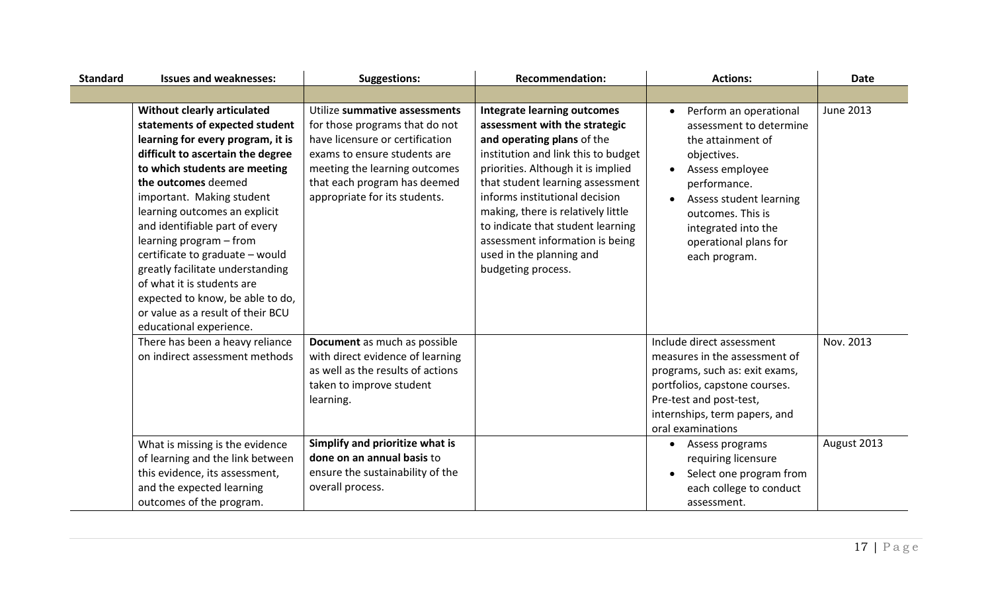| <b>Standard</b> | <b>Issues and weaknesses:</b>                                                                                                                                                                                                                                                                                                                                                                                                                                                                                                       | <b>Suggestions:</b>                                                                                                                                                                                                                  | <b>Recommendation:</b>                                                                                                                                                                                                                                                                                                                                                                                               | <b>Actions:</b>                                                                                                                                                                                                                           | <b>Date</b>      |
|-----------------|-------------------------------------------------------------------------------------------------------------------------------------------------------------------------------------------------------------------------------------------------------------------------------------------------------------------------------------------------------------------------------------------------------------------------------------------------------------------------------------------------------------------------------------|--------------------------------------------------------------------------------------------------------------------------------------------------------------------------------------------------------------------------------------|----------------------------------------------------------------------------------------------------------------------------------------------------------------------------------------------------------------------------------------------------------------------------------------------------------------------------------------------------------------------------------------------------------------------|-------------------------------------------------------------------------------------------------------------------------------------------------------------------------------------------------------------------------------------------|------------------|
|                 |                                                                                                                                                                                                                                                                                                                                                                                                                                                                                                                                     |                                                                                                                                                                                                                                      |                                                                                                                                                                                                                                                                                                                                                                                                                      |                                                                                                                                                                                                                                           |                  |
|                 | Without clearly articulated<br>statements of expected student<br>learning for every program, it is<br>difficult to ascertain the degree<br>to which students are meeting<br>the outcomes deemed<br>important. Making student<br>learning outcomes an explicit<br>and identifiable part of every<br>learning program - from<br>certificate to graduate - would<br>greatly facilitate understanding<br>of what it is students are<br>expected to know, be able to do,<br>or value as a result of their BCU<br>educational experience. | Utilize summative assessments<br>for those programs that do not<br>have licensure or certification<br>exams to ensure students are<br>meeting the learning outcomes<br>that each program has deemed<br>appropriate for its students. | <b>Integrate learning outcomes</b><br>assessment with the strategic<br>and operating plans of the<br>institution and link this to budget<br>priorities. Although it is implied<br>that student learning assessment<br>informs institutional decision<br>making, there is relatively little<br>to indicate that student learning<br>assessment information is being<br>used in the planning and<br>budgeting process. | Perform an operational<br>assessment to determine<br>the attainment of<br>objectives.<br>Assess employee<br>performance.<br>Assess student learning<br>outcomes. This is<br>integrated into the<br>operational plans for<br>each program. | <b>June 2013</b> |
|                 | There has been a heavy reliance<br>on indirect assessment methods                                                                                                                                                                                                                                                                                                                                                                                                                                                                   | Document as much as possible<br>with direct evidence of learning<br>as well as the results of actions<br>taken to improve student<br>learning.                                                                                       |                                                                                                                                                                                                                                                                                                                                                                                                                      | Include direct assessment<br>measures in the assessment of<br>programs, such as: exit exams,<br>portfolios, capstone courses.<br>Pre-test and post-test,<br>internships, term papers, and<br>oral examinations                            | Nov. 2013        |
|                 | What is missing is the evidence<br>of learning and the link between<br>this evidence, its assessment,<br>and the expected learning<br>outcomes of the program.                                                                                                                                                                                                                                                                                                                                                                      | Simplify and prioritize what is<br>done on an annual basis to<br>ensure the sustainability of the<br>overall process.                                                                                                                |                                                                                                                                                                                                                                                                                                                                                                                                                      | Assess programs<br>requiring licensure<br>Select one program from<br>each college to conduct<br>assessment.                                                                                                                               | August 2013      |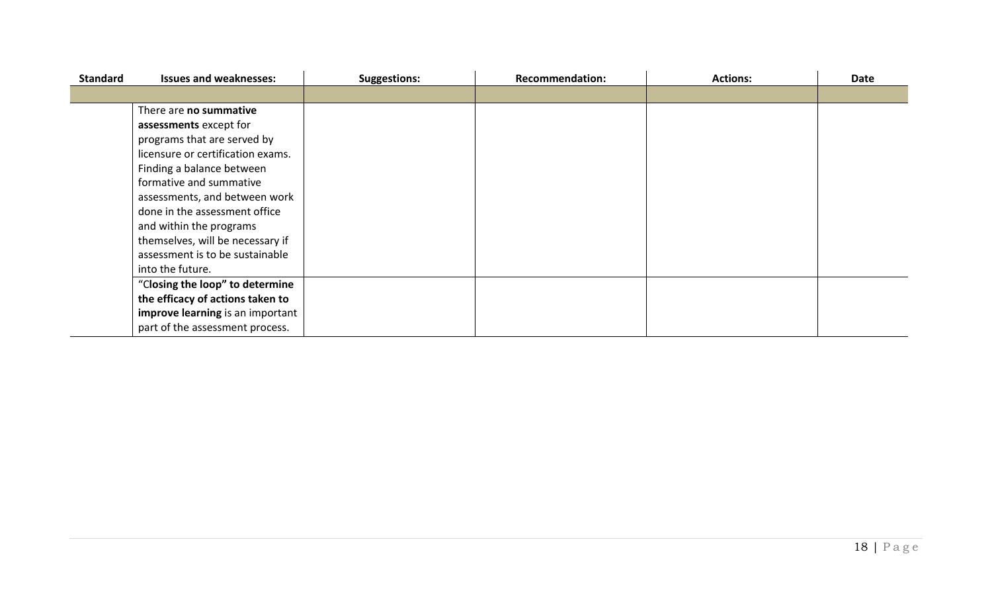| <b>Standard</b> | <b>Issues and weaknesses:</b>     | <b>Suggestions:</b> | <b>Recommendation:</b> | <b>Actions:</b> | <b>Date</b> |
|-----------------|-----------------------------------|---------------------|------------------------|-----------------|-------------|
|                 |                                   |                     |                        |                 |             |
|                 | There are no summative            |                     |                        |                 |             |
|                 | assessments except for            |                     |                        |                 |             |
|                 | programs that are served by       |                     |                        |                 |             |
|                 | licensure or certification exams. |                     |                        |                 |             |
|                 | Finding a balance between         |                     |                        |                 |             |
|                 | formative and summative           |                     |                        |                 |             |
|                 | assessments, and between work     |                     |                        |                 |             |
|                 | done in the assessment office     |                     |                        |                 |             |
|                 | and within the programs           |                     |                        |                 |             |
|                 | themselves, will be necessary if  |                     |                        |                 |             |
|                 | assessment is to be sustainable   |                     |                        |                 |             |
|                 | into the future.                  |                     |                        |                 |             |
|                 | "Closing the loop" to determine   |                     |                        |                 |             |
|                 | the efficacy of actions taken to  |                     |                        |                 |             |
|                 | improve learning is an important  |                     |                        |                 |             |
|                 | part of the assessment process.   |                     |                        |                 |             |